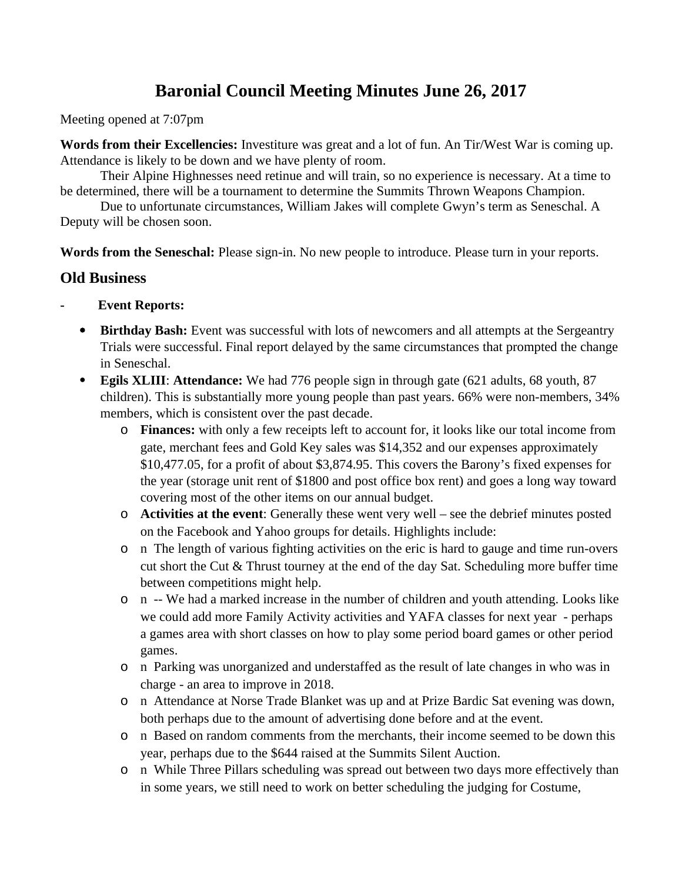# **Baronial Council Meeting Minutes June 26, 2017**

Meeting opened at 7:07pm

**Words from their Excellencies:** Investiture was great and a lot of fun. An Tir/West War is coming up. Attendance is likely to be down and we have plenty of room.

Their Alpine Highnesses need retinue and will train, so no experience is necessary. At a time to be determined, there will be a tournament to determine the Summits Thrown Weapons Champion.

Due to unfortunate circumstances, William Jakes will complete Gwyn's term as Seneschal. A Deputy will be chosen soon.

**Words from the Seneschal:** Please sign-in. No new people to introduce. Please turn in your reports.

# **Old Business**

- **Event Reports:**
	- **Birthday Bash:** Event was successful with lots of newcomers and all attempts at the Sergeantry Trials were successful. Final report delayed by the same circumstances that prompted the change in Seneschal.
	- **Egils XLIII**: **Attendance:** We had 776 people sign in through gate (621 adults, 68 youth, 87 children). This is substantially more young people than past years. 66% were non-members, 34% members, which is consistent over the past decade.
		- o **Finances:** with only a few receipts left to account for, it looks like our total income from gate, merchant fees and Gold Key sales was \$14,352 and our expenses approximately \$10,477.05, for a profit of about \$3,874.95. This covers the Barony's fixed expenses for the year (storage unit rent of \$1800 and post office box rent) and goes a long way toward covering most of the other items on our annual budget.
		- o **Activities at the event**: Generally these went very well see the debrief minutes posted on the Facebook and Yahoo groups for details. Highlights include:
		- o n The length of various fighting activities on the eric is hard to gauge and time run-overs cut short the Cut & Thrust tourney at the end of the day Sat. Scheduling more buffer time between competitions might help.
		- o n -- We had a marked increase in the number of children and youth attending. Looks like we could add more Family Activity activities and YAFA classes for next year - perhaps a games area with short classes on how to play some period board games or other period games.
		- o n Parking was unorganized and understaffed as the result of late changes in who was in charge - an area to improve in 2018.
		- o n Attendance at Norse Trade Blanket was up and at Prize Bardic Sat evening was down, both perhaps due to the amount of advertising done before and at the event.
		- o n Based on random comments from the merchants, their income seemed to be down this year, perhaps due to the \$644 raised at the Summits Silent Auction.
		- o n While Three Pillars scheduling was spread out between two days more effectively than in some years, we still need to work on better scheduling the judging for Costume,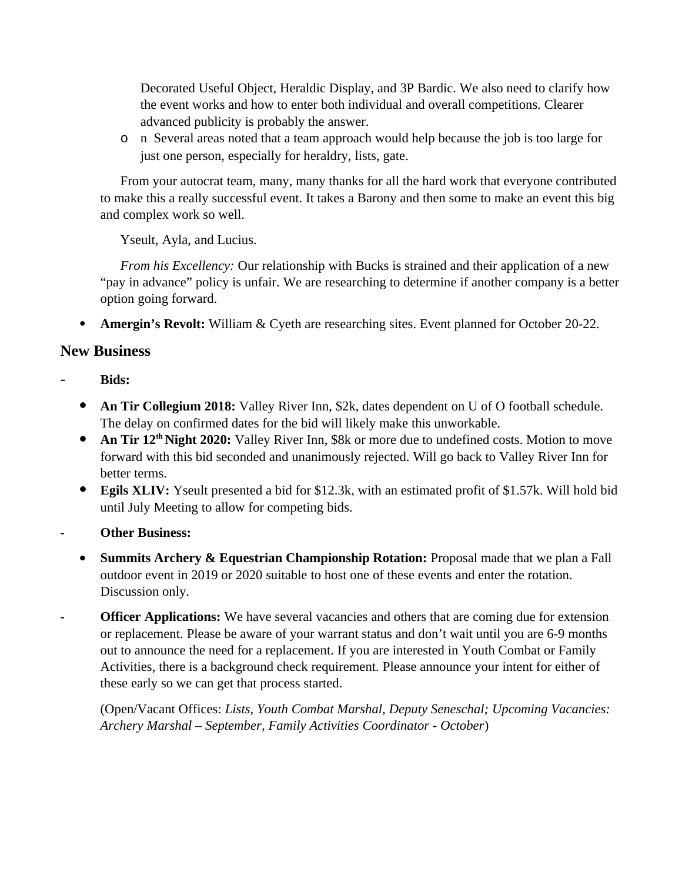Decorated Useful Object, Heraldic Display, and 3P Bardic. We also need to clarify how the event works and how to enter both individual and overall competitions. Clearer advanced publicity is probably the answer.

o n Several areas noted that a team approach would help because the job is too large for just one person, especially for heraldry, lists, gate.

From your autocrat team, many, many thanks for all the hard work that everyone contributed to make this a really successful event. It takes a Barony and then some to make an event this big and complex work so well.

Yseult, Ayla, and Lucius.

*From his Excellency:* Our relationship with Bucks is strained and their application of a new "pay in advance" policy is unfair. We are researching to determine if another company is a better option going forward.

**Amergin's Revolt:** William & Cyeth are researching sites. Event planned for October 20-22.

# **New Business**

- **Bids:**
	- **An Tir Collegium 2018:** Valley River Inn, \$2k, dates dependent on U of O football schedule. The delay on confirmed dates for the bid will likely make this unworkable.
	- **An Tir 12<sup>th</sup> Night 2020:** Valley River Inn, \$8k or more due to undefined costs. Motion to move forward with this bid seconded and unanimously rejected. Will go back to Valley River Inn for better terms.
	- **Egils XLIV:** Yseult presented a bid for \$12.3k, with an estimated profit of \$1.57k. Will hold bid until July Meeting to allow for competing bids.
- **Other Business:**
	- **Summits Archery & Equestrian Championship Rotation:** Proposal made that we plan a Fall outdoor event in 2019 or 2020 suitable to host one of these events and enter the rotation. Discussion only.
- **Officer Applications:** We have several vacancies and others that are coming due for extension or replacement. Please be aware of your warrant status and don't wait until you are 6-9 months out to announce the need for a replacement. If you are interested in Youth Combat or Family Activities, there is a background check requirement. Please announce your intent for either of these early so we can get that process started.

(Open/Vacant Offices: *Lists, Youth Combat Marshal, Deputy Seneschal; Upcoming Vacancies: Archery Marshal – September, Family Activities Coordinator - October*)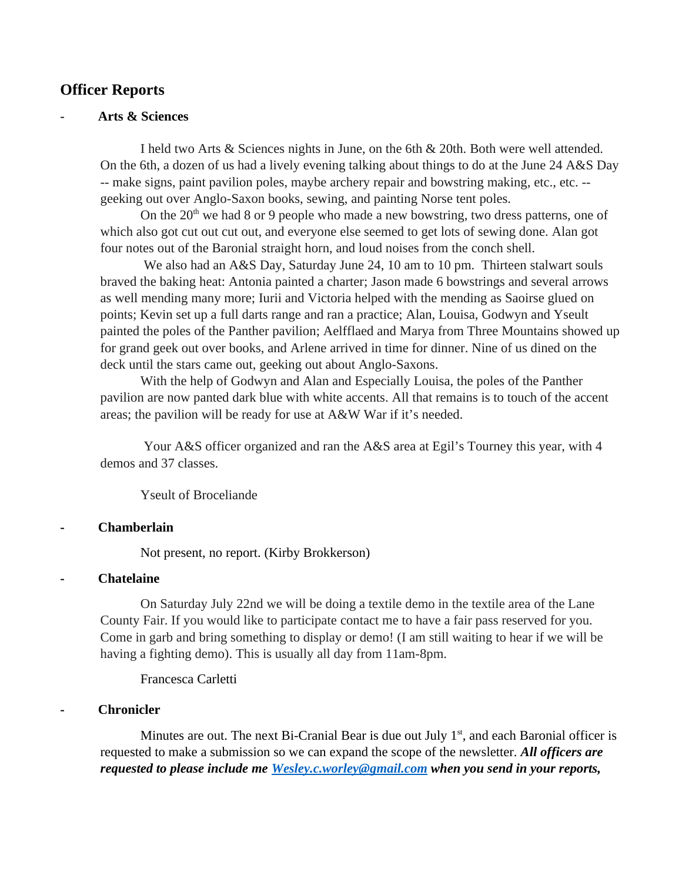# **Officer Reports**

#### - **Arts & Sciences**

I held two Arts & Sciences nights in June, on the 6th & 20th. Both were well attended. On the 6th, a dozen of us had a lively evening talking about things to do at the June 24 A&S Day -- make signs, paint pavilion poles, maybe archery repair and bowstring making, etc., etc. - geeking out over Anglo-Saxon books, sewing, and painting Norse tent poles.

On the  $20<sup>th</sup>$  we had 8 or 9 people who made a new bowstring, two dress patterns, one of which also got cut out cut out, and everyone else seemed to get lots of sewing done. Alan got four notes out of the Baronial straight horn, and loud noises from the conch shell.

We also had an A&S Day, Saturday June 24, 10 am to 10 pm. Thirteen stalwart souls braved the baking heat: Antonia painted a charter; Jason made 6 bowstrings and several arrows as well mending many more; Iurii and Victoria helped with the mending as Saoirse glued on points; Kevin set up a full darts range and ran a practice; Alan, Louisa, Godwyn and Yseult painted the poles of the Panther pavilion; Aelfflaed and Marya from Three Mountains showed up for grand geek out over books, and Arlene arrived in time for dinner. Nine of us dined on the deck until the stars came out, geeking out about Anglo-Saxons.

With the help of Godwyn and Alan and Especially Louisa, the poles of the Panther pavilion are now panted dark blue with white accents. All that remains is to touch of the accent areas; the pavilion will be ready for use at A&W War if it's needed.

Your A&S officer organized and ran the A&S area at Egil's Tourney this year, with 4 demos and 37 classes.

Yseult of Broceliande

#### **- Chamberlain**

Not present, no report. (Kirby Brokkerson)

#### **- Chatelaine**

On Saturday July 22nd we will be doing a textile demo in the textile area of the Lane County Fair. If you would like to participate contact me to have a fair pass reserved for you. Come in garb and bring something to display or demo! (I am still waiting to hear if we will be having a fighting demo). This is usually all day from 11am-8pm.

Francesca Carletti

#### **- Chronicler**

Minutes are out. The next Bi-Cranial Bear is due out July  $1<sup>st</sup>$ , and each Baronial officer is requested to make a submission so we can expand the scope of the newsletter. *All officers are requested to please include me [Wesley.c.worley@gmail.com](mailto:Wesley.c.worley@gmail.com) when you send in your reports,*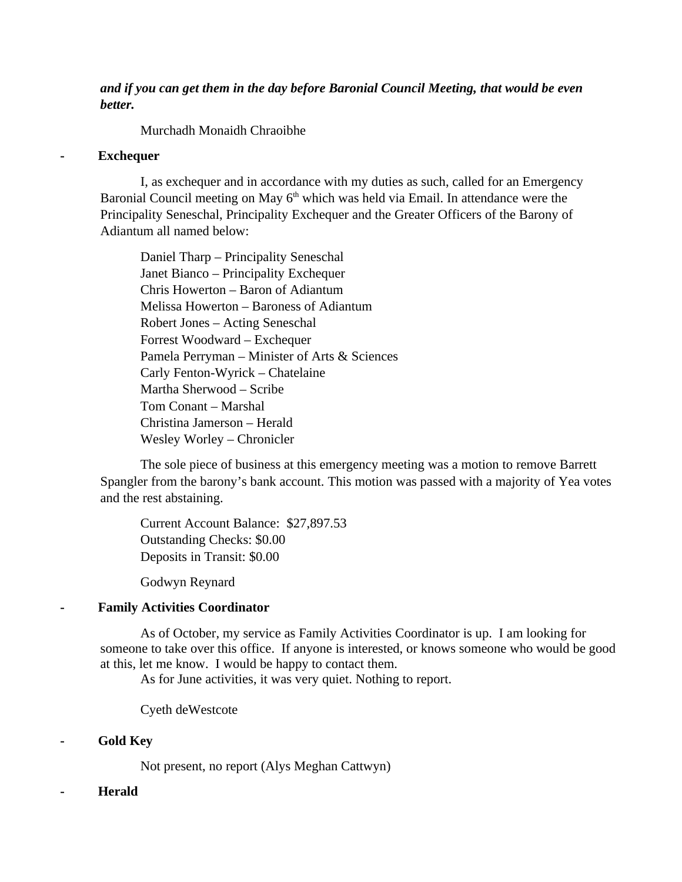# *and if you can get them in the day before Baronial Council Meeting, that would be even better.*

Murchadh Monaidh Chraoibhe

### **- Exchequer**

I, as exchequer and in accordance with my duties as such, called for an Emergency Baronial Council meeting on May  $6<sup>th</sup>$  which was held via Email. In attendance were the Principality Seneschal, Principality Exchequer and the Greater Officers of the Barony of Adiantum all named below:

Daniel Tharp – Principality Seneschal Janet Bianco – Principality Exchequer Chris Howerton – Baron of Adiantum Melissa Howerton – Baroness of Adiantum Robert Jones – Acting Seneschal Forrest Woodward – Exchequer Pamela Perryman – Minister of Arts & Sciences Carly Fenton-Wyrick – Chatelaine Martha Sherwood – Scribe Tom Conant – Marshal Christina Jamerson – Herald Wesley Worley – Chronicler

The sole piece of business at this emergency meeting was a motion to remove Barrett Spangler from the barony's bank account. This motion was passed with a majority of Yea votes and the rest abstaining.

Current Account Balance: \$27,897.53 Outstanding Checks: \$0.00 Deposits in Transit: \$0.00

Godwyn Reynard

# **- Family Activities Coordinator**

As of October, my service as Family Activities Coordinator is up. I am looking for someone to take over this office. If anyone is interested, or knows someone who would be good at this, let me know. I would be happy to contact them.

As for June activities, it was very quiet. Nothing to report.

Cyeth deWestcote

# **- Gold Key**

Not present, no report (Alys Meghan Cattwyn)

# **- Herald**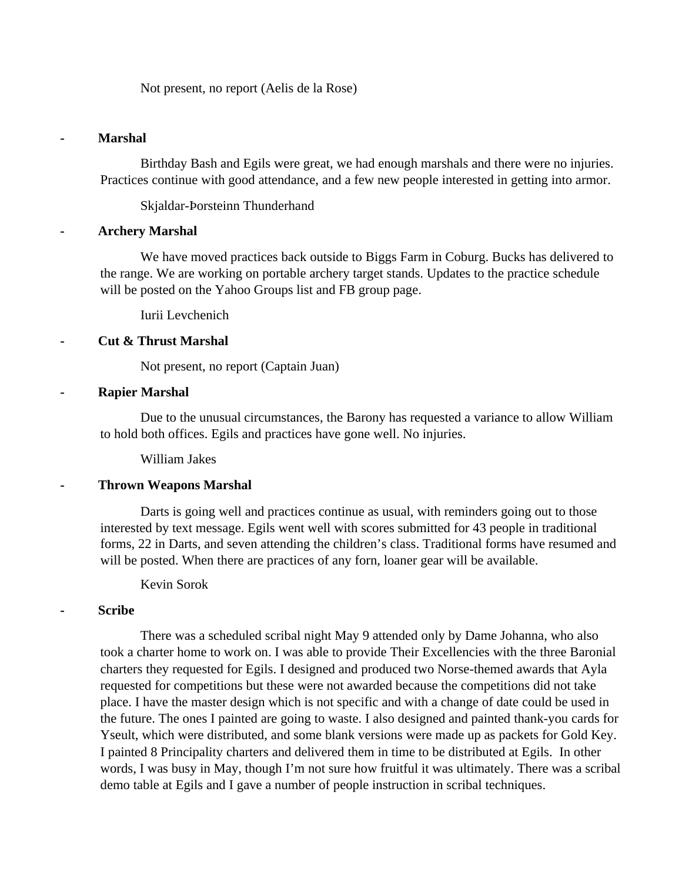Not present, no report (Aelis de la Rose)

#### **- Marshal**

Birthday Bash and Egils were great, we had enough marshals and there were no injuries. Practices continue with good attendance, and a few new people interested in getting into armor.

Skjaldar-Þorsteinn Thunderhand

#### **- Archery Marshal**

We have moved practices back outside to Biggs Farm in Coburg. Bucks has delivered to the range. We are working on portable archery target stands. Updates to the practice schedule will be posted on the Yahoo Groups list and FB group page.

Iurii Levchenich

#### **- Cut & Thrust Marshal**

Not present, no report (Captain Juan)

#### **- Rapier Marshal**

Due to the unusual circumstances, the Barony has requested a variance to allow William to hold both offices. Egils and practices have gone well. No injuries.

William Jakes

#### **- Thrown Weapons Marshal**

Darts is going well and practices continue as usual, with reminders going out to those interested by text message. Egils went well with scores submitted for 43 people in traditional forms, 22 in Darts, and seven attending the children's class. Traditional forms have resumed and will be posted. When there are practices of any forn, loaner gear will be available.

Kevin Sorok

#### **- Scribe**

There was a scheduled scribal night May 9 attended only by Dame Johanna, who also took a charter home to work on. I was able to provide Their Excellencies with the three Baronial charters they requested for Egils. I designed and produced two Norse-themed awards that Ayla requested for competitions but these were not awarded because the competitions did not take place. I have the master design which is not specific and with a change of date could be used in the future. The ones I painted are going to waste. I also designed and painted thank-you cards for Yseult, which were distributed, and some blank versions were made up as packets for Gold Key. I painted 8 Principality charters and delivered them in time to be distributed at Egils. In other words, I was busy in May, though I'm not sure how fruitful it was ultimately. There was a scribal demo table at Egils and I gave a number of people instruction in scribal techniques.